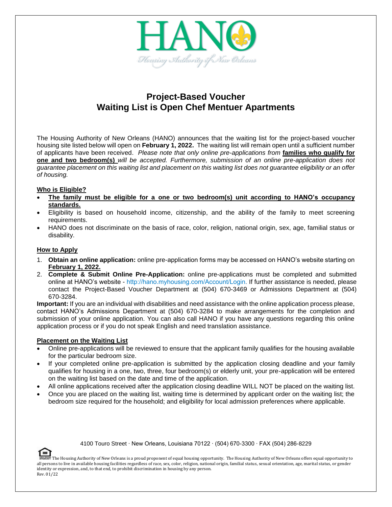

# **Project-Based Voucher Waiting List is Open Chef Mentuer Apartments**

The Housing Authority of New Orleans (HANO) announces that the waiting list for the project-based voucher housing site listed below will open on **February 1, 2022.** The waiting list will remain open until a sufficient number of applicants have been received. *Please note that only online pre-applications from* **families who qualify for one and two bedroom(s)** *will be accepted. Furthermore, submission of an online pre-application does not guarantee placement on this waiting list and placement on this waiting list does not guarantee eligibility or an offer of housing.*

## **Who is Eligible?**

- **The family must be eligible for a one or two bedroom(s) unit according to HANO's occupancy standards.**
- Eligibility is based on household income, citizenship, and the ability of the family to meet screening requirements.
- HANO does not discriminate on the basis of race, color, religion, national origin, sex, age, familial status or disability.

## **How to Apply**

- 1. **Obtain an online application:** online pre-application forms may be accessed on HANO's website starting on **February 1, 2022.**
- 2. **Complete & Submit Online Pre-Application:** online pre-applications must be completed and submitted online at HANO's website - <http://hano.myhousing.com/Account/Login>. If further assistance is needed, please contact the Project-Based Voucher Department at (504) 670-3469 or Admissions Department at (504) 670-3284.

**Important:** If you are an individual with disabilities and need assistance with the online application process please, contact HANO's Admissions Department at (504) 670-3284 to make arrangements for the completion and submission of your online application. You can also call HANO if you have any questions regarding this online application process or if you do not speak English and need translation assistance.

## **Placement on the Waiting List**

- Online pre-applications will be reviewed to ensure that the applicant family qualifies for the housing available for the particular bedroom size.
- If your completed online pre-application is submitted by the application closing deadline and your family qualifies for housing in a one, two, three, four bedroom(s) or elderly unit, your pre-application will be entered on the waiting list based on the date and time of the application.
- All online applications received after the application closing deadline WILL NOT be placed on the waiting list.
- Once you are placed on the waiting list, waiting time is determined by applicant order on the waiting list; the bedroom size required for the household; and eligibility for local admission preferences where applicable.

4100 Touro Street ∙ New Orleans, Louisiana 70122 ∙ (504) 670-3300 ∙ FAX (504) 286-8229

The Housing Authority of New Orleans is a proud proponent of equal housing opportunity. The Housing Authority of New Orleans offers equal opportunity to all persons to live in available housing facilities regardless of race, sex, color, religion, national origin, familial status, sexual orientation, age, marital status, or gender identity or expression, and, to that end, to prohibit discrimination in housing by any person. Rev. 01/22